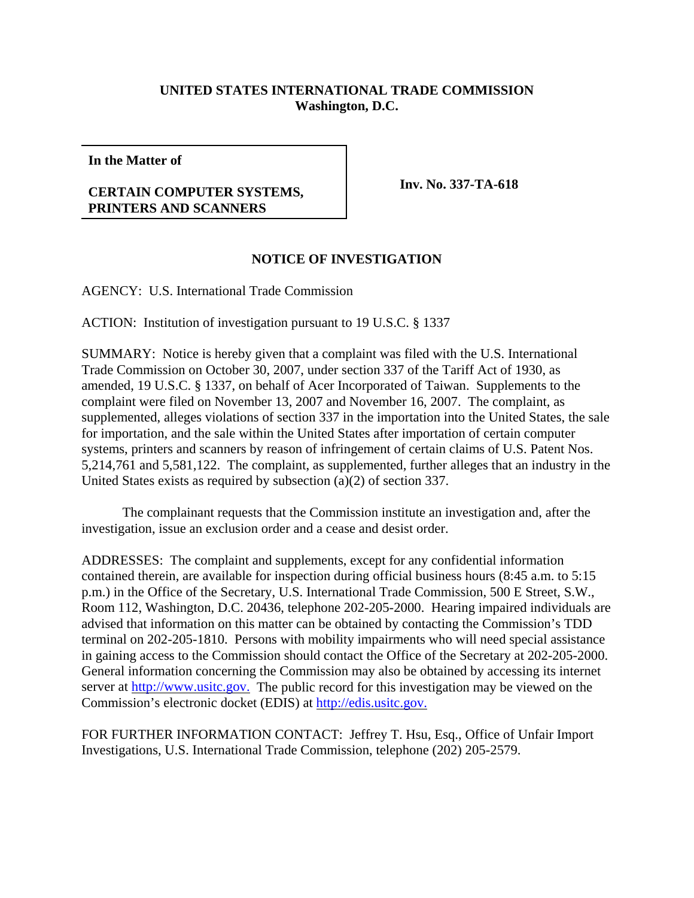## **UNITED STATES INTERNATIONAL TRADE COMMISSION Washington, D.C.**

**In the Matter of**

## **CERTAIN COMPUTER SYSTEMS, PRINTERS AND SCANNERS**

**Inv. No. 337-TA-618**

## **NOTICE OF INVESTIGATION**

AGENCY: U.S. International Trade Commission

ACTION: Institution of investigation pursuant to 19 U.S.C. § 1337

SUMMARY: Notice is hereby given that a complaint was filed with the U.S. International Trade Commission on October 30, 2007, under section 337 of the Tariff Act of 1930, as amended, 19 U.S.C. § 1337, on behalf of Acer Incorporated of Taiwan. Supplements to the complaint were filed on November 13, 2007 and November 16, 2007. The complaint, as supplemented, alleges violations of section 337 in the importation into the United States, the sale for importation, and the sale within the United States after importation of certain computer systems, printers and scanners by reason of infringement of certain claims of U.S. Patent Nos. 5,214,761 and 5,581,122. The complaint, as supplemented, further alleges that an industry in the United States exists as required by subsection (a)(2) of section 337.

The complainant requests that the Commission institute an investigation and, after the investigation, issue an exclusion order and a cease and desist order.

ADDRESSES: The complaint and supplements, except for any confidential information contained therein, are available for inspection during official business hours (8:45 a.m. to 5:15 p.m.) in the Office of the Secretary, U.S. International Trade Commission, 500 E Street, S.W., Room 112, Washington, D.C. 20436, telephone 202-205-2000. Hearing impaired individuals are advised that information on this matter can be obtained by contacting the Commission's TDD terminal on 202-205-1810. Persons with mobility impairments who will need special assistance in gaining access to the Commission should contact the Office of the Secretary at 202-205-2000. General information concerning the Commission may also be obtained by accessing its internet server at http://www.usitc.gov. The public record for this investigation may be viewed on the Commission's electronic docket (EDIS) at http://edis.usitc.gov.

FOR FURTHER INFORMATION CONTACT: Jeffrey T. Hsu, Esq., Office of Unfair Import Investigations, U.S. International Trade Commission, telephone (202) 205-2579.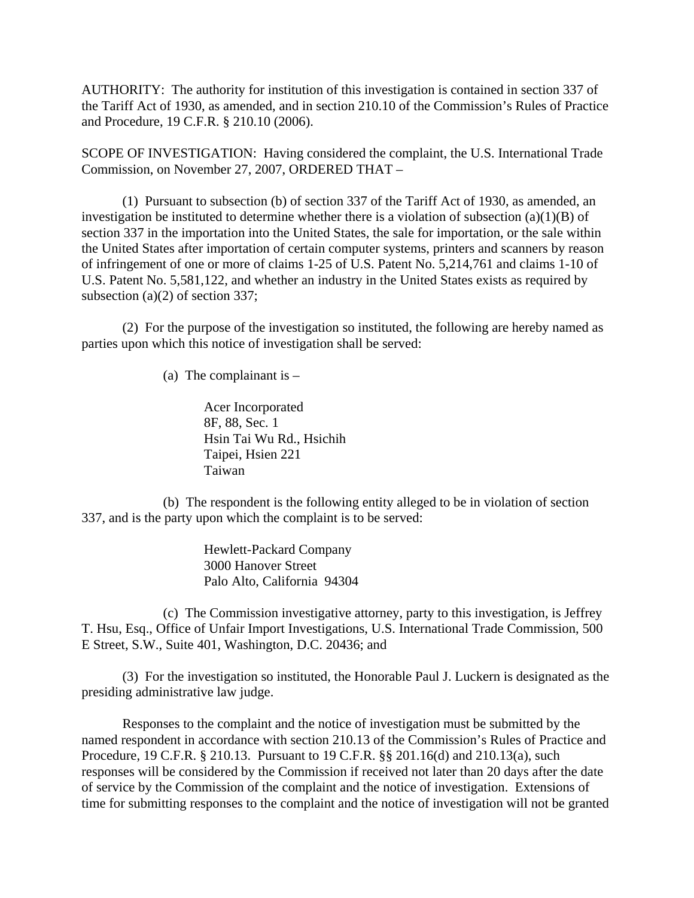AUTHORITY: The authority for institution of this investigation is contained in section 337 of the Tariff Act of 1930, as amended, and in section 210.10 of the Commission's Rules of Practice and Procedure, 19 C.F.R. § 210.10 (2006).

SCOPE OF INVESTIGATION: Having considered the complaint, the U.S. International Trade Commission, on November 27, 2007, ORDERED THAT –

(1) Pursuant to subsection (b) of section 337 of the Tariff Act of 1930, as amended, an investigation be instituted to determine whether there is a violation of subsection  $(a)(1)(B)$  of section 337 in the importation into the United States, the sale for importation, or the sale within the United States after importation of certain computer systems, printers and scanners by reason of infringement of one or more of claims 1-25 of U.S. Patent No. 5,214,761 and claims 1-10 of U.S. Patent No. 5,581,122, and whether an industry in the United States exists as required by subsection (a)(2) of section 337;

(2) For the purpose of the investigation so instituted, the following are hereby named as parties upon which this notice of investigation shall be served:

(a) The complainant is  $-$ 

Acer Incorporated 8F, 88, Sec. 1 Hsin Tai Wu Rd., Hsichih Taipei, Hsien 221 Taiwan

(b) The respondent is the following entity alleged to be in violation of section 337, and is the party upon which the complaint is to be served:

> Hewlett-Packard Company 3000 Hanover Street Palo Alto, California 94304

(c) The Commission investigative attorney, party to this investigation, is Jeffrey T. Hsu, Esq., Office of Unfair Import Investigations, U.S. International Trade Commission, 500 E Street, S.W., Suite 401, Washington, D.C. 20436; and

(3) For the investigation so instituted, the Honorable Paul J. Luckern is designated as the presiding administrative law judge.

Responses to the complaint and the notice of investigation must be submitted by the named respondent in accordance with section 210.13 of the Commission's Rules of Practice and Procedure, 19 C.F.R. § 210.13. Pursuant to 19 C.F.R. §§ 201.16(d) and 210.13(a), such responses will be considered by the Commission if received not later than 20 days after the date of service by the Commission of the complaint and the notice of investigation. Extensions of time for submitting responses to the complaint and the notice of investigation will not be granted